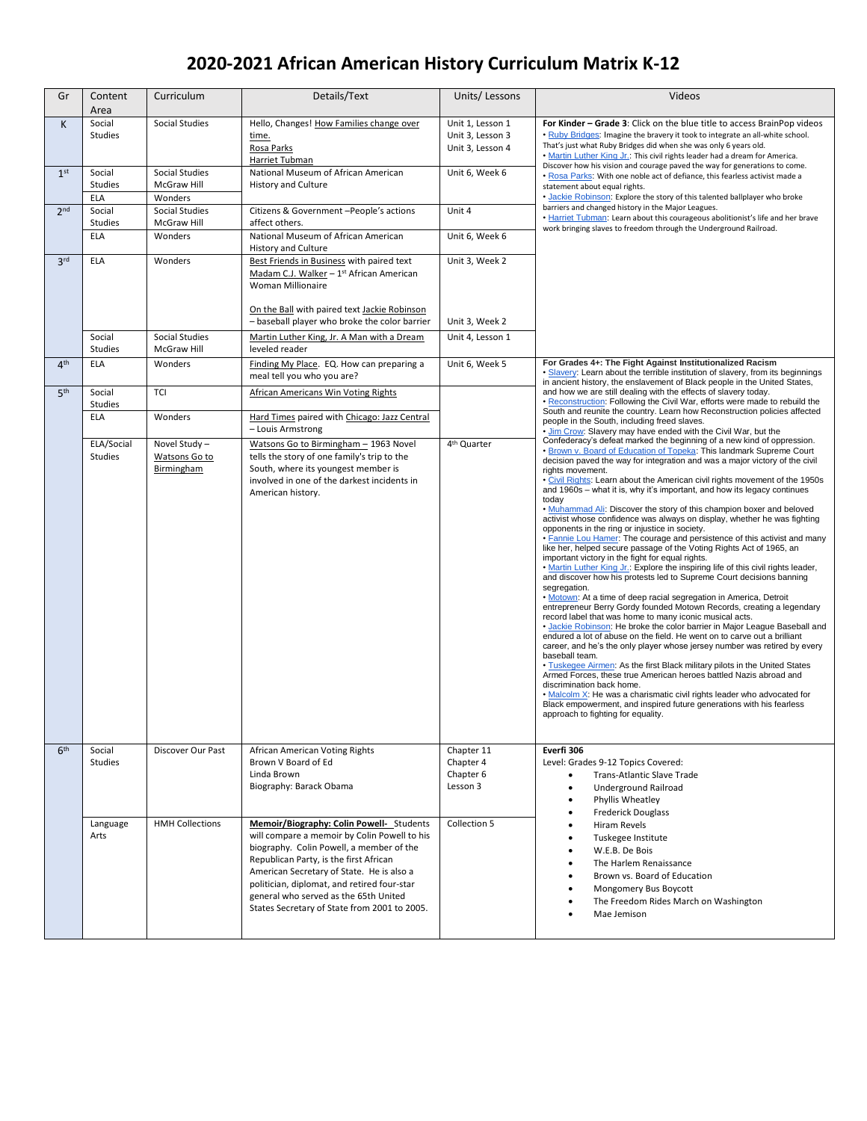## **2020-2021 African American History Curriculum Matrix K-12**

| Gr              | Content<br>Area                 | Curriculum                                   | Details/Text                                                                                                                                                                                                                                                                                                                                                        | Units/Lessons                                            | Videos                                                                                                                                                                                                                                                                                                                                                                                                                                                                                                                                                                                                                                                                                                                                                                                                                                                                                                                                                                                                                                                                                                                                                                                                                                                                                                                                                                                                                                                                                                                                                                                                                                                                                                                                                                                                                                                         |
|-----------------|---------------------------------|----------------------------------------------|---------------------------------------------------------------------------------------------------------------------------------------------------------------------------------------------------------------------------------------------------------------------------------------------------------------------------------------------------------------------|----------------------------------------------------------|----------------------------------------------------------------------------------------------------------------------------------------------------------------------------------------------------------------------------------------------------------------------------------------------------------------------------------------------------------------------------------------------------------------------------------------------------------------------------------------------------------------------------------------------------------------------------------------------------------------------------------------------------------------------------------------------------------------------------------------------------------------------------------------------------------------------------------------------------------------------------------------------------------------------------------------------------------------------------------------------------------------------------------------------------------------------------------------------------------------------------------------------------------------------------------------------------------------------------------------------------------------------------------------------------------------------------------------------------------------------------------------------------------------------------------------------------------------------------------------------------------------------------------------------------------------------------------------------------------------------------------------------------------------------------------------------------------------------------------------------------------------------------------------------------------------------------------------------------------------|
| K               | Social<br><b>Studies</b>        | Social Studies<br><b>Social Studies</b>      | Hello, Changes! How Families change over<br>time.<br>Rosa Parks<br>Harriet Tubman<br>National Museum of African American                                                                                                                                                                                                                                            | Unit 1, Lesson 1<br>Unit 3, Lesson 3<br>Unit 3, Lesson 4 | For Kinder - Grade 3: Click on the blue title to access BrainPop videos<br>. Ruby Bridges: Imagine the bravery it took to integrate an all-white school.<br>That's just what Ruby Bridges did when she was only 6 years old.<br>. Martin Luther King Jr.: This civil rights leader had a dream for America.<br>Discover how his vision and courage paved the way for generations to come.<br>. Rosa Parks: With one noble act of defiance, this fearless activist made a<br>statement about equal rights.<br>. Jackie Robinson: Explore the story of this talented ballplayer who broke                                                                                                                                                                                                                                                                                                                                                                                                                                                                                                                                                                                                                                                                                                                                                                                                                                                                                                                                                                                                                                                                                                                                                                                                                                                                        |
| 1 <sup>st</sup> | Social<br>Studies<br><b>ELA</b> | McGraw Hill<br>Wonders                       | <b>History and Culture</b>                                                                                                                                                                                                                                                                                                                                          | Unit 6, Week 6                                           |                                                                                                                                                                                                                                                                                                                                                                                                                                                                                                                                                                                                                                                                                                                                                                                                                                                                                                                                                                                                                                                                                                                                                                                                                                                                                                                                                                                                                                                                                                                                                                                                                                                                                                                                                                                                                                                                |
| 2 <sub>nd</sub> | Social<br>Studies               | Social Studies<br>McGraw Hill                | Citizens & Government -People's actions<br>affect others.                                                                                                                                                                                                                                                                                                           | Unit 4                                                   | barriers and changed history in the Major Leagues.<br>. Harriet Tubman: Learn about this courageous abolitionist's life and her brave<br>work bringing slaves to freedom through the Underground Railroad.                                                                                                                                                                                                                                                                                                                                                                                                                                                                                                                                                                                                                                                                                                                                                                                                                                                                                                                                                                                                                                                                                                                                                                                                                                                                                                                                                                                                                                                                                                                                                                                                                                                     |
|                 | <b>ELA</b>                      | Wonders                                      | National Museum of African American<br><b>History and Culture</b>                                                                                                                                                                                                                                                                                                   | Unit 6, Week 6                                           |                                                                                                                                                                                                                                                                                                                                                                                                                                                                                                                                                                                                                                                                                                                                                                                                                                                                                                                                                                                                                                                                                                                                                                                                                                                                                                                                                                                                                                                                                                                                                                                                                                                                                                                                                                                                                                                                |
| 3 <sup>rd</sup> | <b>ELA</b>                      | Wonders                                      | Best Friends in Business with paired text<br>Madam C.J. Walker - 1st African American<br>Woman Millionaire<br>On the Ball with paired text Jackie Robinson                                                                                                                                                                                                          | Unit 3, Week 2                                           |                                                                                                                                                                                                                                                                                                                                                                                                                                                                                                                                                                                                                                                                                                                                                                                                                                                                                                                                                                                                                                                                                                                                                                                                                                                                                                                                                                                                                                                                                                                                                                                                                                                                                                                                                                                                                                                                |
|                 |                                 |                                              | - baseball player who broke the color barrier                                                                                                                                                                                                                                                                                                                       | Unit 3, Week 2                                           |                                                                                                                                                                                                                                                                                                                                                                                                                                                                                                                                                                                                                                                                                                                                                                                                                                                                                                                                                                                                                                                                                                                                                                                                                                                                                                                                                                                                                                                                                                                                                                                                                                                                                                                                                                                                                                                                |
|                 | Social<br>Studies               | Social Studies<br>McGraw Hill                | Martin Luther King, Jr. A Man with a Dream<br>leveled reader                                                                                                                                                                                                                                                                                                        | Unit 4, Lesson 1                                         |                                                                                                                                                                                                                                                                                                                                                                                                                                                                                                                                                                                                                                                                                                                                                                                                                                                                                                                                                                                                                                                                                                                                                                                                                                                                                                                                                                                                                                                                                                                                                                                                                                                                                                                                                                                                                                                                |
| 4 <sup>th</sup> | <b>ELA</b>                      | Wonders                                      | Finding My Place. EQ. How can preparing a<br>meal tell you who you are?                                                                                                                                                                                                                                                                                             | Unit 6, Week 5                                           | For Grades 4+: The Fight Against Institutionalized Racism<br>. Slavery: Learn about the terrible institution of slavery, from its beginnings<br>in ancient history, the enslavement of Black people in the United States,                                                                                                                                                                                                                                                                                                                                                                                                                                                                                                                                                                                                                                                                                                                                                                                                                                                                                                                                                                                                                                                                                                                                                                                                                                                                                                                                                                                                                                                                                                                                                                                                                                      |
| 5 <sup>th</sup> | Social<br>Studies               | TCI                                          | African Americans Win Voting Rights                                                                                                                                                                                                                                                                                                                                 |                                                          | and how we are still dealing with the effects of slavery today.<br>. Reconstruction: Following the Civil War, efforts were made to rebuild the                                                                                                                                                                                                                                                                                                                                                                                                                                                                                                                                                                                                                                                                                                                                                                                                                                                                                                                                                                                                                                                                                                                                                                                                                                                                                                                                                                                                                                                                                                                                                                                                                                                                                                                 |
|                 | <b>ELA</b>                      | Wonders                                      | Hard Times paired with Chicago: Jazz Central<br>- Louis Armstrong                                                                                                                                                                                                                                                                                                   |                                                          | South and reunite the country. Learn how Reconstruction policies affected<br>people in the South, including freed slaves.<br>. Jim Crow: Slavery may have ended with the Civil War, but the                                                                                                                                                                                                                                                                                                                                                                                                                                                                                                                                                                                                                                                                                                                                                                                                                                                                                                                                                                                                                                                                                                                                                                                                                                                                                                                                                                                                                                                                                                                                                                                                                                                                    |
|                 | ELA/Social<br><b>Studies</b>    | Novel Study -<br>Watsons Go to<br>Birmingham | Watsons Go to Birmingham - 1963 Novel<br>tells the story of one family's trip to the<br>South, where its youngest member is<br>involved in one of the darkest incidents in<br>American history.                                                                                                                                                                     | 4 <sup>th</sup> Quarter                                  | Confederacy's defeat marked the beginning of a new kind of oppression.<br>. Brown v. Board of Education of Topeka: This landmark Supreme Court<br>decision paved the way for integration and was a major victory of the civil<br>rights movement.<br>. Civil Rights: Learn about the American civil rights movement of the 1950s<br>and 1960s - what it is, why it's important, and how its legacy continues<br>today<br>. Muhammad Ali: Discover the story of this champion boxer and beloved<br>activist whose confidence was always on display, whether he was fighting<br>opponents in the ring or injustice in society.<br>. Fannie Lou Hamer: The courage and persistence of this activist and many<br>like her, helped secure passage of the Voting Rights Act of 1965, an<br>important victory in the fight for equal rights.<br>. Martin Luther King Jr.: Explore the inspiring life of this civil rights leader,<br>and discover how his protests led to Supreme Court decisions banning<br>segregation.<br>. Motown: At a time of deep racial segregation in America, Detroit<br>entrepreneur Berry Gordy founded Motown Records, creating a legendary<br>record label that was home to many iconic musical acts.<br>• Jackie Robinson: He broke the color barrier in Major League Baseball and<br>endured a lot of abuse on the field. He went on to carve out a brilliant<br>career, and he's the only player whose jersey number was retired by every<br>baseball team.<br>. Tuskegee Airmen: As the first Black military pilots in the United States<br>Armed Forces, these true American heroes battled Nazis abroad and<br>discrimination back home.<br>. Malcolm X: He was a charismatic civil rights leader who advocated for<br>Black empowerment, and inspired future generations with his fearless<br>approach to fighting for equality. |
| 6 <sup>th</sup> | Social<br>Studies               | Discover Our Past                            | African American Voting Rights<br>Brown V Board of Ed<br>Chapter 4<br>Chapter 6<br>Linda Brown<br>Biography: Barack Obama<br>Lesson 3                                                                                                                                                                                                                               | Chapter 11                                               | Everfi 306<br>Level: Grades 9-12 Topics Covered:<br>Trans-Atlantic Slave Trade<br>Underground Railroad<br>$\bullet$<br>Phyllis Wheatley<br>$\bullet$<br><b>Frederick Douglass</b>                                                                                                                                                                                                                                                                                                                                                                                                                                                                                                                                                                                                                                                                                                                                                                                                                                                                                                                                                                                                                                                                                                                                                                                                                                                                                                                                                                                                                                                                                                                                                                                                                                                                              |
|                 | Language<br>Arts                | <b>HMH Collections</b>                       | Memoir/Biography: Colin Powell- Students<br>will compare a memoir by Colin Powell to his<br>biography. Colin Powell, a member of the<br>Republican Party, is the first African<br>American Secretary of State. He is also a<br>politician, diplomat, and retired four-star<br>general who served as the 65th United<br>States Secretary of State from 2001 to 2005. | Collection 5                                             | Hiram Revels<br>Tuskegee Institute<br>W.E.B. De Bois<br>The Harlem Renaissance<br>Brown vs. Board of Education<br>Mongomery Bus Boycott<br>The Freedom Rides March on Washington<br>Mae Jemison                                                                                                                                                                                                                                                                                                                                                                                                                                                                                                                                                                                                                                                                                                                                                                                                                                                                                                                                                                                                                                                                                                                                                                                                                                                                                                                                                                                                                                                                                                                                                                                                                                                                |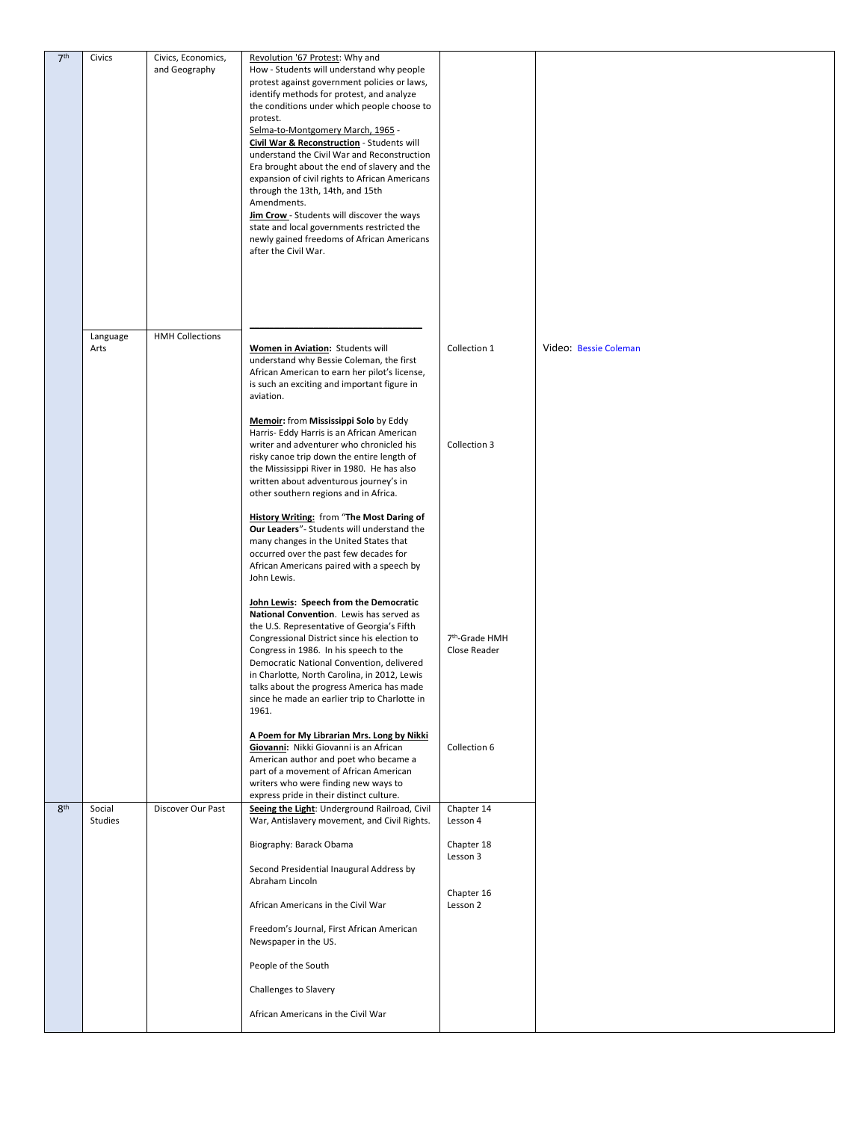| 7 <sup>th</sup> | Civics   | Civics, Economics,     | Revolution '67 Protest: Why and                                                               |                            |                       |
|-----------------|----------|------------------------|-----------------------------------------------------------------------------------------------|----------------------------|-----------------------|
|                 |          | and Geography          | How - Students will understand why people                                                     |                            |                       |
|                 |          |                        | protest against government policies or laws,<br>identify methods for protest, and analyze     |                            |                       |
|                 |          |                        | the conditions under which people choose to                                                   |                            |                       |
|                 |          |                        | protest.                                                                                      |                            |                       |
|                 |          |                        | Selma-to-Montgomery March, 1965 -                                                             |                            |                       |
|                 |          |                        | Civil War & Reconstruction - Students will                                                    |                            |                       |
|                 |          |                        | understand the Civil War and Reconstruction                                                   |                            |                       |
|                 |          |                        | Era brought about the end of slavery and the                                                  |                            |                       |
|                 |          |                        | expansion of civil rights to African Americans<br>through the 13th, 14th, and 15th            |                            |                       |
|                 |          |                        | Amendments.                                                                                   |                            |                       |
|                 |          |                        | Jim Crow - Students will discover the ways                                                    |                            |                       |
|                 |          |                        | state and local governments restricted the                                                    |                            |                       |
|                 |          |                        | newly gained freedoms of African Americans                                                    |                            |                       |
|                 |          |                        | after the Civil War.                                                                          |                            |                       |
|                 |          |                        |                                                                                               |                            |                       |
|                 |          |                        |                                                                                               |                            |                       |
|                 |          |                        |                                                                                               |                            |                       |
|                 |          |                        |                                                                                               |                            |                       |
|                 | Language | <b>HMH Collections</b> |                                                                                               |                            |                       |
|                 | Arts     |                        | Women in Aviation: Students will                                                              | Collection 1               | Video: Bessie Coleman |
|                 |          |                        | understand why Bessie Coleman, the first                                                      |                            |                       |
|                 |          |                        | African American to earn her pilot's license,<br>is such an exciting and important figure in  |                            |                       |
|                 |          |                        | aviation.                                                                                     |                            |                       |
|                 |          |                        |                                                                                               |                            |                       |
|                 |          |                        | Memoir: from Mississippi Solo by Eddy                                                         |                            |                       |
|                 |          |                        | Harris- Eddy Harris is an African American<br>writer and adventurer who chronicled his        | Collection 3               |                       |
|                 |          |                        | risky canoe trip down the entire length of                                                    |                            |                       |
|                 |          |                        | the Mississippi River in 1980. He has also                                                    |                            |                       |
|                 |          |                        | written about adventurous journey's in                                                        |                            |                       |
|                 |          |                        | other southern regions and in Africa.                                                         |                            |                       |
|                 |          |                        | <b>History Writing: from "The Most Daring of</b>                                              |                            |                       |
|                 |          |                        | Our Leaders"- Students will understand the                                                    |                            |                       |
|                 |          |                        | many changes in the United States that                                                        |                            |                       |
|                 |          |                        | occurred over the past few decades for                                                        |                            |                       |
|                 |          |                        | African Americans paired with a speech by<br>John Lewis.                                      |                            |                       |
|                 |          |                        |                                                                                               |                            |                       |
|                 |          |                        | John Lewis: Speech from the Democratic                                                        |                            |                       |
|                 |          |                        | National Convention. Lewis has served as                                                      |                            |                       |
|                 |          |                        | the U.S. Representative of Georgia's Fifth<br>Congressional District since his election to    | 7 <sup>th</sup> -Grade HMH |                       |
|                 |          |                        | Congress in 1986. In his speech to the                                                        | Close Reader               |                       |
|                 |          |                        | Democratic National Convention, delivered                                                     |                            |                       |
|                 |          |                        | in Charlotte, North Carolina, in 2012, Lewis                                                  |                            |                       |
|                 |          |                        | talks about the progress America has made                                                     |                            |                       |
|                 |          |                        | since he made an earlier trip to Charlotte in<br>1961.                                        |                            |                       |
|                 |          |                        |                                                                                               |                            |                       |
|                 |          |                        | A Poem for My Librarian Mrs. Long by Nikki                                                    |                            |                       |
|                 |          |                        | Giovanni: Nikki Giovanni is an African                                                        | Collection 6               |                       |
|                 |          |                        | American author and poet who became a<br>part of a movement of African American               |                            |                       |
|                 |          |                        | writers who were finding new ways to                                                          |                            |                       |
|                 |          |                        | express pride in their distinct culture.                                                      |                            |                       |
| 8 <sup>th</sup> | Social   | Discover Our Past      | Seeing the Light: Underground Railroad, Civil<br>War, Antislavery movement, and Civil Rights. | Chapter 14                 |                       |
|                 | Studies  |                        |                                                                                               | Lesson 4                   |                       |
|                 |          |                        | Biography: Barack Obama                                                                       | Chapter 18                 |                       |
|                 |          |                        | Second Presidential Inaugural Address by                                                      | Lesson 3                   |                       |
|                 |          |                        | Abraham Lincoln                                                                               |                            |                       |
|                 |          |                        | African Americans in the Civil War                                                            | Chapter 16<br>Lesson 2     |                       |
|                 |          |                        | Freedom's Journal, First African American<br>Newspaper in the US.                             |                            |                       |
|                 |          |                        | People of the South                                                                           |                            |                       |
|                 |          |                        | Challenges to Slavery                                                                         |                            |                       |
|                 |          |                        | African Americans in the Civil War                                                            |                            |                       |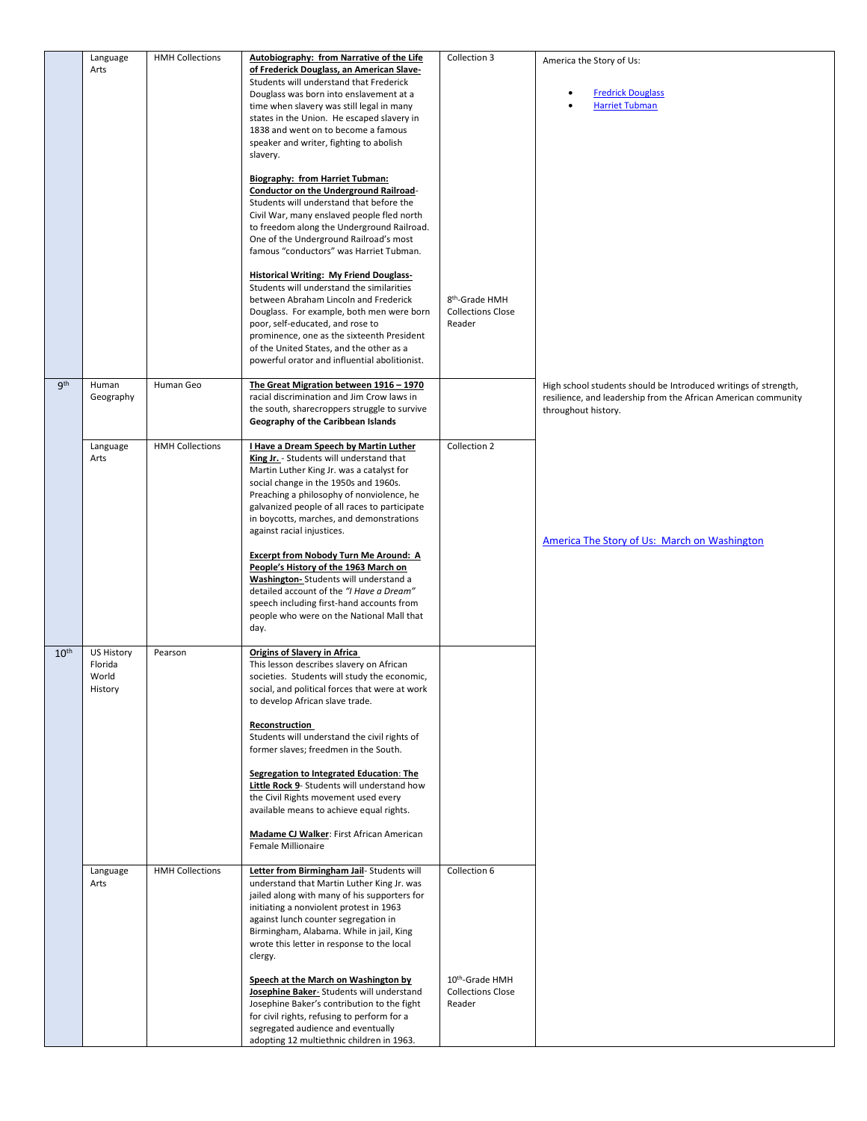|                  | Language<br>Arts                          | <b>HMH Collections</b> | Autobiography: from Narrative of the Life<br>of Frederick Douglass, an American Slave-<br>Students will understand that Frederick<br>Douglass was born into enslavement at a<br>time when slavery was still legal in many<br>states in the Union. He escaped slavery in<br>1838 and went on to become a famous<br>speaker and writer, fighting to abolish<br>slavery.<br><b>Biography: from Harriet Tubman:</b><br><b>Conductor on the Underground Railroad-</b><br>Students will understand that before the<br>Civil War, many enslaved people fled north<br>to freedom along the Underground Railroad.<br>One of the Underground Railroad's most<br>famous "conductors" was Harriet Tubman.<br><b>Historical Writing: My Friend Douglass-</b> | Collection 3                                                     | America the Story of Us:<br><b>Fredrick Douglass</b><br><b>Harriet Tubman</b>                                                                            |
|------------------|-------------------------------------------|------------------------|-------------------------------------------------------------------------------------------------------------------------------------------------------------------------------------------------------------------------------------------------------------------------------------------------------------------------------------------------------------------------------------------------------------------------------------------------------------------------------------------------------------------------------------------------------------------------------------------------------------------------------------------------------------------------------------------------------------------------------------------------|------------------------------------------------------------------|----------------------------------------------------------------------------------------------------------------------------------------------------------|
|                  |                                           |                        | Students will understand the similarities<br>between Abraham Lincoln and Frederick<br>Douglass. For example, both men were born<br>poor, self-educated, and rose to<br>prominence, one as the sixteenth President<br>of the United States, and the other as a<br>powerful orator and influential abolitionist.                                                                                                                                                                                                                                                                                                                                                                                                                                  | 8 <sup>th</sup> -Grade HMH<br><b>Collections Close</b><br>Reader |                                                                                                                                                          |
| <b>gth</b>       | Human<br>Geography                        | Human Geo              | The Great Migration between 1916 - 1970<br>racial discrimination and Jim Crow laws in<br>the south, sharecroppers struggle to survive<br>Geography of the Caribbean Islands                                                                                                                                                                                                                                                                                                                                                                                                                                                                                                                                                                     |                                                                  | High school students should be Introduced writings of strength,<br>resilience, and leadership from the African American community<br>throughout history. |
|                  | Language<br>Arts                          | <b>HMH Collections</b> | I Have a Dream Speech by Martin Luther<br>King Jr. - Students will understand that<br>Martin Luther King Jr. was a catalyst for<br>social change in the 1950s and 1960s.<br>Preaching a philosophy of nonviolence, he<br>galvanized people of all races to participate<br>in boycotts, marches, and demonstrations<br>against racial injustices.<br>Excerpt from Nobody Turn Me Around: A<br>People's History of the 1963 March on<br>Washington- Students will understand a<br>detailed account of the "I Have a Dream"<br>speech including first-hand accounts from<br>people who were on the National Mall that<br>day.                                                                                                                      | Collection 2                                                     | America The Story of Us: March on Washington                                                                                                             |
| 10 <sup>th</sup> | US History<br>Florida<br>World<br>History | Pearson                | <b>Origins of Slavery in Africa</b><br>This lesson describes slavery on African<br>societies. Students will study the economic,<br>social, and political forces that were at work<br>to develop African slave trade.<br>Reconstruction<br>Students will understand the civil rights of<br>former slaves; freedmen in the South.<br>Segregation to Integrated Education: The<br>Little Rock 9- Students will understand how<br>the Civil Rights movement used every<br>available means to achieve equal rights.<br>Madame CJ Walker: First African American<br>Female Millionaire                                                                                                                                                                |                                                                  |                                                                                                                                                          |
|                  | Language<br>Arts                          | <b>HMH Collections</b> | Letter from Birmingham Jail- Students will<br>understand that Martin Luther King Jr. was<br>jailed along with many of his supporters for<br>initiating a nonviolent protest in 1963<br>against lunch counter segregation in<br>Birmingham, Alabama. While in jail, King<br>wrote this letter in response to the local<br>clergy.                                                                                                                                                                                                                                                                                                                                                                                                                | Collection 6                                                     |                                                                                                                                                          |
|                  |                                           |                        | Speech at the March on Washington by<br>Josephine Baker-Students will understand<br>Josephine Baker's contribution to the fight<br>for civil rights, refusing to perform for a<br>segregated audience and eventually<br>adopting 12 multiethnic children in 1963.                                                                                                                                                                                                                                                                                                                                                                                                                                                                               | 10th-Grade HMH<br><b>Collections Close</b><br>Reader             |                                                                                                                                                          |